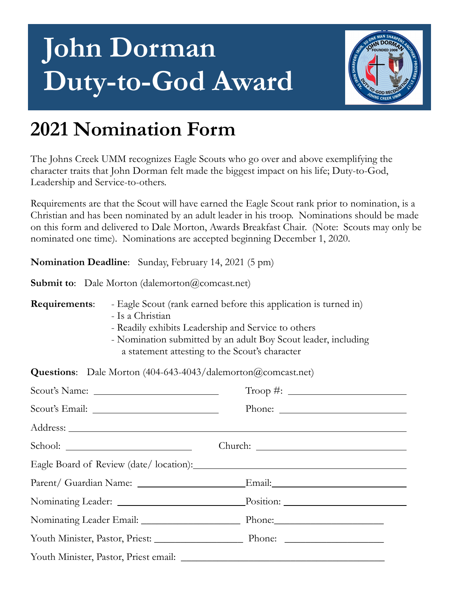## **John Dorman Duty-to-God Award**



## **2021 Nomination Form**

The Johns Creek UMM recognizes Eagle Scouts who go over and above exemplifying the character traits that John Dorman felt made the biggest impact on his life; Duty-to-God, Leadership and Service-to-others.

Requirements are that the Scout will have earned the Eagle Scout rank prior to nomination, is a Christian and has been nominated by an adult leader in his troop. Nominations should be made on this form and delivered to Dale Morton, Awards Breakfast Chair. (Note: Scouts may only be nominated one time). Nominations are accepted beginning December 1, 2020.

**Nomination Deadline**: Sunday, February 14, 2021 (5 pm)

**Submit to**: Dale Morton (dalemorton@comcast.net)

**Requirements**: - Eagle Scout (rank earned before this application is turned in)

- Is a Christian
- Readily exhibits Leadership and Service to others
- Nomination submitted by an adult Boy Scout leader, including a statement attesting to the Scout's character

**Questions**: Dale Morton (404-643-4043/dalemorton@comcast.net)